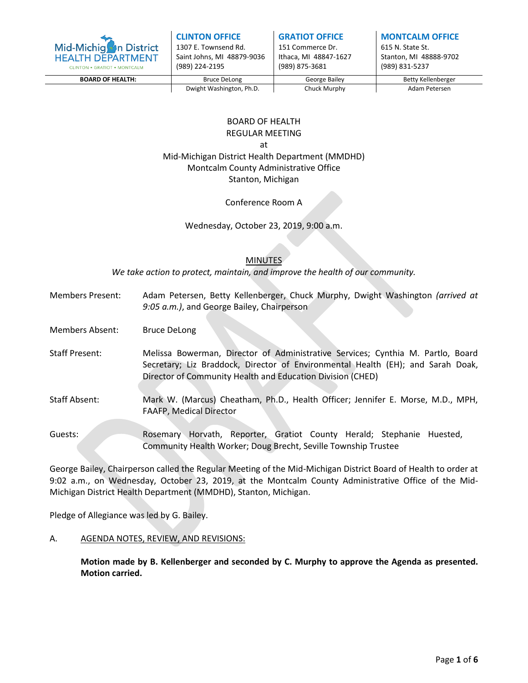

| <b>CLINTON OFFICE</b>      |
|----------------------------|
| 1307 E. Townsend Rd.       |
| Saint Johns, MI 48879-9036 |
| (989) 224-2195             |

**GRATIOT OFFICE**

151 Commerce Dr. Ithaca, MI 48847-1627 (989) 875-3681

**MONTCALM OFFICE**

615 N. State St. Stanton, MI 48888-9702 (989) 831-5237

**BOARD OF HEALTH:** The Bruce DeLong The George Bailey The Betty Kellenberger

Dwight Washington, Ph.D. Chuck Murphy Mushington, Ph.D. Chuck Murphy

# BOARD OF HEALTH

REGULAR MEETING

at

Mid-Michigan District Health Department (MMDHD) Montcalm County Administrative Office Stanton, Michigan

Conference Room A

Wednesday, October 23, 2019, 9:00 a.m.

# **MINUTES**

*We take action to protect, maintain, and improve the health of our community.*

- Members Present: Adam Petersen, Betty Kellenberger, Chuck Murphy, Dwight Washington *(arrived at 9:05 a.m.)*, and George Bailey, Chairperson
- Members Absent: Bruce DeLong
- Staff Present: Melissa Bowerman, Director of Administrative Services; Cynthia M. Partlo, Board Secretary; Liz Braddock, Director of Environmental Health (EH); and Sarah Doak, Director of Community Health and Education Division (CHED)
- Staff Absent: Mark W. (Marcus) Cheatham, Ph.D., Health Officer; Jennifer E. Morse, M.D., MPH, FAAFP, Medical Director

Guests: Rosemary Horvath, Reporter, Gratiot County Herald; Stephanie Huested, Community Health Worker; Doug Brecht, Seville Township Trustee

George Bailey, Chairperson called the Regular Meeting of the Mid-Michigan District Board of Health to order at 9:02 a.m., on Wednesday, October 23, 2019, at the Montcalm County Administrative Office of the Mid-Michigan District Health Department (MMDHD), Stanton, Michigan.

Pledge of Allegiance was led by G. Bailey.

## A. AGENDA NOTES, REVIEW, AND REVISIONS:

**Motion made by B. Kellenberger and seconded by C. Murphy to approve the Agenda as presented. Motion carried.**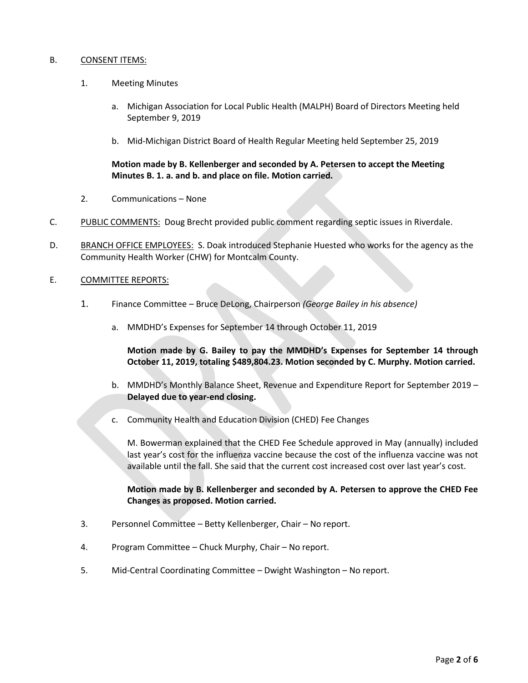#### B. CONSENT ITEMS:

- 1. Meeting Minutes
	- a. Michigan Association for Local Public Health (MALPH) Board of Directors Meeting held September 9, 2019
	- b. Mid-Michigan District Board of Health Regular Meeting held September 25, 2019

## **Motion made by B. Kellenberger and seconded by A. Petersen to accept the Meeting Minutes B. 1. a. and b. and place on file. Motion carried.**

- 2. Communications None
- C. PUBLIC COMMENTS: Doug Brecht provided public comment regarding septic issues in Riverdale.
- D. BRANCH OFFICE EMPLOYEES: S. Doak introduced Stephanie Huested who works for the agency as the Community Health Worker (CHW) for Montcalm County.
- E. COMMITTEE REPORTS:
	- 1. Finance Committee Bruce DeLong, Chairperson *(George Bailey in his absence)*
		- a. MMDHD's Expenses for September 14 through October 11, 2019

**Motion made by G. Bailey to pay the MMDHD's Expenses for September 14 through October 11, 2019, totaling \$489,804.23. Motion seconded by C. Murphy. Motion carried.**

- b. MMDHD's Monthly Balance Sheet, Revenue and Expenditure Report for September 2019 **Delayed due to year-end closing.**
- c. Community Health and Education Division (CHED) Fee Changes

M. Bowerman explained that the CHED Fee Schedule approved in May (annually) included last year's cost for the influenza vaccine because the cost of the influenza vaccine was not available until the fall. She said that the current cost increased cost over last year's cost.

## **Motion made by B. Kellenberger and seconded by A. Petersen to approve the CHED Fee Changes as proposed. Motion carried.**

- 3. Personnel Committee Betty Kellenberger, Chair No report.
- 4. Program Committee Chuck Murphy, Chair No report.
- 5. Mid-Central Coordinating Committee Dwight Washington No report.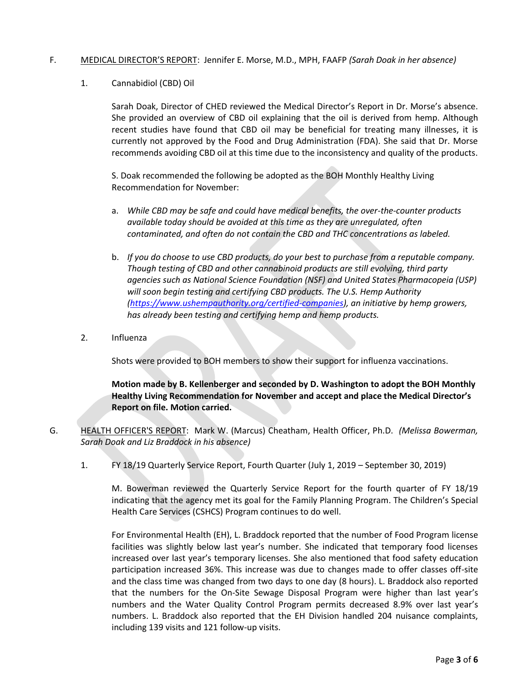#### F. MEDICAL DIRECTOR'S REPORT: Jennifer E. Morse, M.D., MPH, FAAFP *(Sarah Doak in her absence)*

1. Cannabidiol (CBD) Oil

Sarah Doak, Director of CHED reviewed the Medical Director's Report in Dr. Morse's absence. She provided an overview of CBD oil explaining that the oil is derived from hemp. Although recent studies have found that CBD oil may be beneficial for treating many illnesses, it is currently not approved by the Food and Drug Administration (FDA). She said that Dr. Morse recommends avoiding CBD oil at this time due to the inconsistency and quality of the products.

S. Doak recommended the following be adopted as the BOH Monthly Healthy Living Recommendation for November:

- a. *While CBD may be safe and could have medical benefits, the over-the-counter products available today should be avoided at this time as they are unregulated, often contaminated, and often do not contain the CBD and THC concentrations as labeled.*
- b. *If you do choose to use CBD products, do your best to purchase from a reputable company. Though testing of CBD and other cannabinoid products are still evolving, third party agencies such as National Science Foundation (NSF) and United States Pharmacopeia (USP) will soon begin testing and certifying CBD products. The U.S. Hemp Authority [\(https://www.ushempauthority.org/certified-companies\)](https://www.ushempauthority.org/certified-companies), an initiative by hemp growers, has already been testing and certifying hemp and hemp products.*
- 2. Influenza

Shots were provided to BOH members to show their support for influenza vaccinations.

**Motion made by B. Kellenberger and seconded by D. Washington to adopt the BOH Monthly Healthy Living Recommendation for November and accept and place the Medical Director's Report on file. Motion carried.**

- G. HEALTH OFFICER'S REPORT: Mark W. (Marcus) Cheatham, Health Officer, Ph.D. *(Melissa Bowerman, Sarah Doak and Liz Braddock in his absence)*
	- 1. FY 18/19 Quarterly Service Report, Fourth Quarter (July 1, 2019 September 30, 2019)

M. Bowerman reviewed the Quarterly Service Report for the fourth quarter of FY 18/19 indicating that the agency met its goal for the Family Planning Program. The Children's Special Health Care Services (CSHCS) Program continues to do well.

For Environmental Health (EH), L. Braddock reported that the number of Food Program license facilities was slightly below last year's number. She indicated that temporary food licenses increased over last year's temporary licenses. She also mentioned that food safety education participation increased 36%. This increase was due to changes made to offer classes off-site and the class time was changed from two days to one day (8 hours). L. Braddock also reported that the numbers for the On-Site Sewage Disposal Program were higher than last year's numbers and the Water Quality Control Program permits decreased 8.9% over last year's numbers. L. Braddock also reported that the EH Division handled 204 nuisance complaints, including 139 visits and 121 follow-up visits.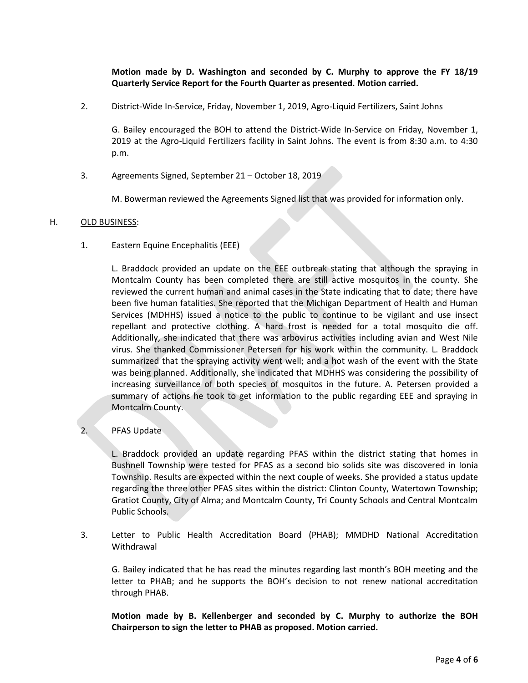# **Motion made by D. Washington and seconded by C. Murphy to approve the FY 18/19 Quarterly Service Report for the Fourth Quarter as presented. Motion carried.**

2. District-Wide In-Service, Friday, November 1, 2019, Agro-Liquid Fertilizers, Saint Johns

G. Bailey encouraged the BOH to attend the District-Wide In-Service on Friday, November 1, 2019 at the Agro-Liquid Fertilizers facility in Saint Johns. The event is from 8:30 a.m. to 4:30 p.m.

3. Agreements Signed, September 21 – October 18, 2019

M. Bowerman reviewed the Agreements Signed list that was provided for information only.

#### H. OLD BUSINESS:

1. Eastern Equine Encephalitis (EEE)

L. Braddock provided an update on the EEE outbreak stating that although the spraying in Montcalm County has been completed there are still active mosquitos in the county. She reviewed the current human and animal cases in the State indicating that to date; there have been five human fatalities. She reported that the Michigan Department of Health and Human Services (MDHHS) issued a notice to the public to continue to be vigilant and use insect repellant and protective clothing. A hard frost is needed for a total mosquito die off. Additionally, she indicated that there was arbovirus activities including avian and West Nile virus. She thanked Commissioner Petersen for his work within the community. L. Braddock summarized that the spraying activity went well; and a hot wash of the event with the State was being planned. Additionally, she indicated that MDHHS was considering the possibility of increasing surveillance of both species of mosquitos in the future. A. Petersen provided a summary of actions he took to get information to the public regarding EEE and spraying in Montcalm County.

# 2. PFAS Update

L. Braddock provided an update regarding PFAS within the district stating that homes in Bushnell Township were tested for PFAS as a second bio solids site was discovered in Ionia Township. Results are expected within the next couple of weeks. She provided a status update regarding the three other PFAS sites within the district: Clinton County, Watertown Township; Gratiot County, City of Alma; and Montcalm County, Tri County Schools and Central Montcalm Public Schools.

3. Letter to Public Health Accreditation Board (PHAB); MMDHD National Accreditation Withdrawal

G. Bailey indicated that he has read the minutes regarding last month's BOH meeting and the letter to PHAB; and he supports the BOH's decision to not renew national accreditation through PHAB.

**Motion made by B. Kellenberger and seconded by C. Murphy to authorize the BOH Chairperson to sign the letter to PHAB as proposed. Motion carried.**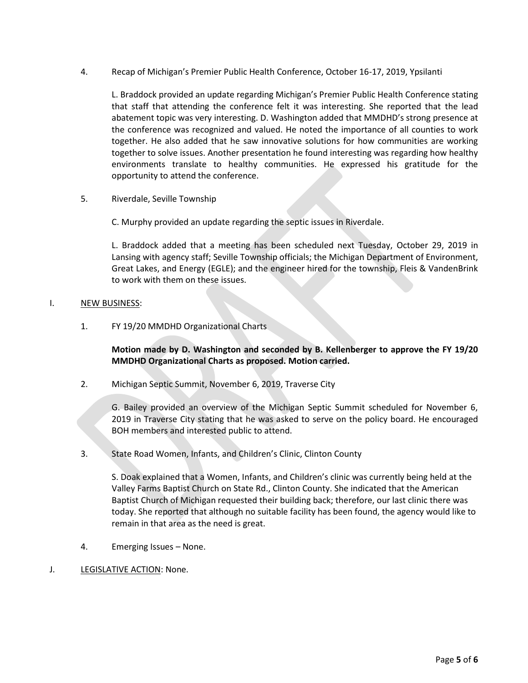4. Recap of Michigan's Premier Public Health Conference, October 16-17, 2019, Ypsilanti

L. Braddock provided an update regarding Michigan's Premier Public Health Conference stating that staff that attending the conference felt it was interesting. She reported that the lead abatement topic was very interesting. D. Washington added that MMDHD's strong presence at the conference was recognized and valued. He noted the importance of all counties to work together. He also added that he saw innovative solutions for how communities are working together to solve issues. Another presentation he found interesting was regarding how healthy environments translate to healthy communities. He expressed his gratitude for the opportunity to attend the conference.

5. Riverdale, Seville Township

C. Murphy provided an update regarding the septic issues in Riverdale.

L. Braddock added that a meeting has been scheduled next Tuesday, October 29, 2019 in Lansing with agency staff; Seville Township officials; the Michigan Department of Environment, Great Lakes, and Energy (EGLE); and the engineer hired for the township, Fleis & VandenBrink to work with them on these issues.

# I. NEW BUSINESS:

1. FY 19/20 MMDHD Organizational Charts

**Motion made by D. Washington and seconded by B. Kellenberger to approve the FY 19/20 MMDHD Organizational Charts as proposed. Motion carried.**

2. Michigan Septic Summit, November 6, 2019, Traverse City

G. Bailey provided an overview of the Michigan Septic Summit scheduled for November 6, 2019 in Traverse City stating that he was asked to serve on the policy board. He encouraged BOH members and interested public to attend.

3. State Road Women, Infants, and Children's Clinic, Clinton County

S. Doak explained that a Women, Infants, and Children's clinic was currently being held at the Valley Farms Baptist Church on State Rd., Clinton County. She indicated that the American Baptist Church of Michigan requested their building back; therefore, our last clinic there was today. She reported that although no suitable facility has been found, the agency would like to remain in that area as the need is great.

- 4. Emerging Issues None.
- J. LEGISLATIVE ACTION: None.